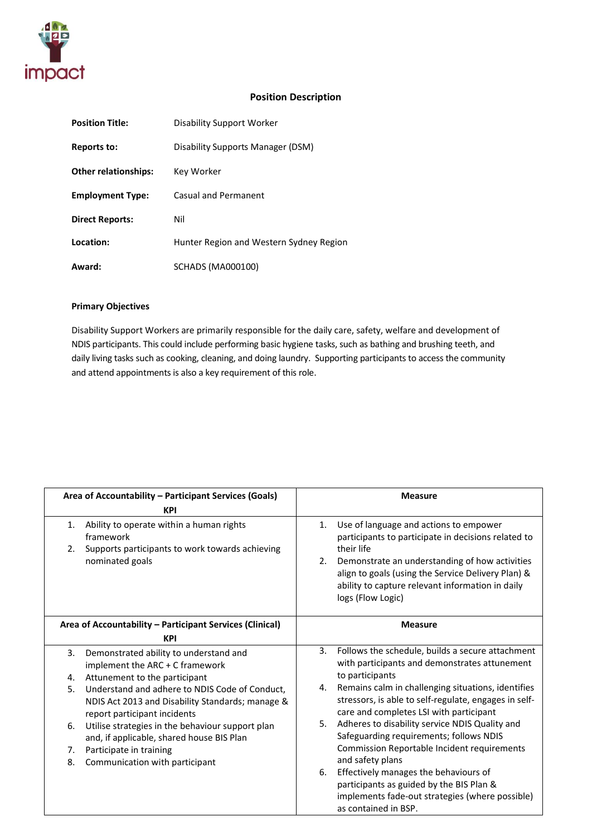

### **Position Description**

| <b>Position Title:</b>      | Disability Support Worker               |
|-----------------------------|-----------------------------------------|
| <b>Reports to:</b>          | Disability Supports Manager (DSM)       |
| <b>Other relationships:</b> | Key Worker                              |
| <b>Employment Type:</b>     | Casual and Permanent                    |
| <b>Direct Reports:</b>      | Nil                                     |
| Location:                   | Hunter Region and Western Sydney Region |
| Award:                      | SCHADS (MA000100)                       |

### **Primary Objectives**

Disability Support Workers are primarily responsible for the daily care, safety, welfare and development of NDIS participants. This could include performing basic hygiene tasks, such as bathing and brushing teeth, and daily living tasks such as cooking, cleaning, and doing laundry. Supporting participants to access the community and attend appointments is also a key requirement of this role.

|          | Area of Accountability - Participant Services (Goals)<br><b>KPI</b>                                                                |    | <b>Measure</b>                                                                                                                                                                   |
|----------|------------------------------------------------------------------------------------------------------------------------------------|----|----------------------------------------------------------------------------------------------------------------------------------------------------------------------------------|
| 1.<br>2. | Ability to operate within a human rights<br>framework<br>Supports participants to work towards achieving                           | 1. | Use of language and actions to empower<br>participants to participate in decisions related to<br>their life                                                                      |
|          | nominated goals                                                                                                                    | 2. | Demonstrate an understanding of how activities<br>align to goals (using the Service Delivery Plan) &<br>ability to capture relevant information in daily<br>logs (Flow Logic)    |
|          | Area of Accountability - Participant Services (Clinical)<br><b>KPI</b>                                                             |    | <b>Measure</b>                                                                                                                                                                   |
| 3.<br>4. | Demonstrated ability to understand and<br>implement the ARC + C framework<br>Attunement to the participant                         | 3. | Follows the schedule, builds a secure attachment<br>with participants and demonstrates attunement<br>to participants                                                             |
| 5.       | Understand and adhere to NDIS Code of Conduct,<br>NDIS Act 2013 and Disability Standards; manage &<br>report participant incidents | 4. | Remains calm in challenging situations, identifies<br>stressors, is able to self-regulate, engages in self-<br>care and completes LSI with participant                           |
| 6.       | Utilise strategies in the behaviour support plan<br>and, if applicable, shared house BIS Plan                                      | 5. | Adheres to disability service NDIS Quality and<br>Safeguarding requirements; follows NDIS                                                                                        |
| 7.       | Participate in training                                                                                                            |    | Commission Reportable Incident requirements                                                                                                                                      |
| 8.       | Communication with participant                                                                                                     | 6. | and safety plans<br>Effectively manages the behaviours of<br>participants as guided by the BIS Plan &<br>implements fade-out strategies (where possible)<br>as contained in BSP. |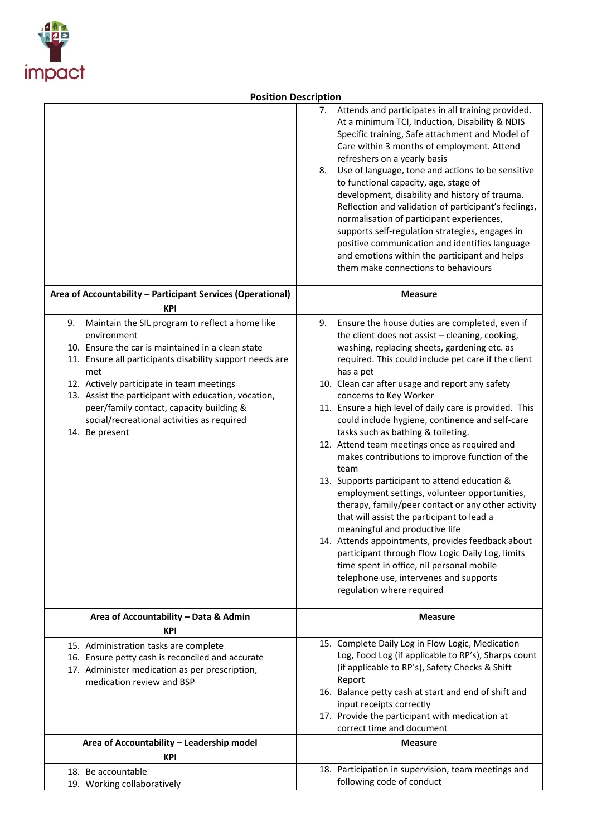

# **Position Description**

|                                                                                                                                                                                                                                                                                                                                                                                                               | Attends and participates in all training provided.<br>7.<br>At a minimum TCI, Induction, Disability & NDIS<br>Specific training, Safe attachment and Model of<br>Care within 3 months of employment. Attend<br>refreshers on a yearly basis<br>Use of language, tone and actions to be sensitive<br>8.<br>to functional capacity, age, stage of<br>development, disability and history of trauma.<br>Reflection and validation of participant's feelings,<br>normalisation of participant experiences,<br>supports self-regulation strategies, engages in<br>positive communication and identifies language<br>and emotions within the participant and helps<br>them make connections to behaviours                                                                                                                                                                                                                                                                                                                                           |
|---------------------------------------------------------------------------------------------------------------------------------------------------------------------------------------------------------------------------------------------------------------------------------------------------------------------------------------------------------------------------------------------------------------|-----------------------------------------------------------------------------------------------------------------------------------------------------------------------------------------------------------------------------------------------------------------------------------------------------------------------------------------------------------------------------------------------------------------------------------------------------------------------------------------------------------------------------------------------------------------------------------------------------------------------------------------------------------------------------------------------------------------------------------------------------------------------------------------------------------------------------------------------------------------------------------------------------------------------------------------------------------------------------------------------------------------------------------------------|
| Area of Accountability - Participant Services (Operational)<br><b>KPI</b>                                                                                                                                                                                                                                                                                                                                     | <b>Measure</b>                                                                                                                                                                                                                                                                                                                                                                                                                                                                                                                                                                                                                                                                                                                                                                                                                                                                                                                                                                                                                                |
| Maintain the SIL program to reflect a home like<br>9.<br>environment<br>10. Ensure the car is maintained in a clean state<br>11. Ensure all participants disability support needs are<br>met<br>12. Actively participate in team meetings<br>13. Assist the participant with education, vocation,<br>peer/family contact, capacity building &<br>social/recreational activities as required<br>14. Be present | 9.<br>Ensure the house duties are completed, even if<br>the client does not assist - cleaning, cooking,<br>washing, replacing sheets, gardening etc. as<br>required. This could include pet care if the client<br>has a pet<br>10. Clean car after usage and report any safety<br>concerns to Key Worker<br>11. Ensure a high level of daily care is provided. This<br>could include hygiene, continence and self-care<br>tasks such as bathing & toileting.<br>12. Attend team meetings once as required and<br>makes contributions to improve function of the<br>team<br>13. Supports participant to attend education &<br>employment settings, volunteer opportunities,<br>therapy, family/peer contact or any other activity<br>that will assist the participant to lead a<br>meaningful and productive life<br>14. Attends appointments, provides feedback about<br>participant through Flow Logic Daily Log, limits<br>time spent in office, nil personal mobile<br>telephone use, intervenes and supports<br>regulation where required |
| Area of Accountability - Data & Admin<br><b>KPI</b>                                                                                                                                                                                                                                                                                                                                                           | <b>Measure</b>                                                                                                                                                                                                                                                                                                                                                                                                                                                                                                                                                                                                                                                                                                                                                                                                                                                                                                                                                                                                                                |
| 15. Administration tasks are complete<br>16. Ensure petty cash is reconciled and accurate<br>17. Administer medication as per prescription,<br>medication review and BSP                                                                                                                                                                                                                                      | 15. Complete Daily Log in Flow Logic, Medication<br>Log, Food Log (if applicable to RP's), Sharps count<br>(if applicable to RP's), Safety Checks & Shift<br>Report<br>16. Balance petty cash at start and end of shift and<br>input receipts correctly<br>17. Provide the participant with medication at<br>correct time and document                                                                                                                                                                                                                                                                                                                                                                                                                                                                                                                                                                                                                                                                                                        |
| Area of Accountability - Leadership model<br>KPI                                                                                                                                                                                                                                                                                                                                                              | <b>Measure</b>                                                                                                                                                                                                                                                                                                                                                                                                                                                                                                                                                                                                                                                                                                                                                                                                                                                                                                                                                                                                                                |
| 18. Be accountable<br>19. Working collaboratively                                                                                                                                                                                                                                                                                                                                                             | 18. Participation in supervision, team meetings and<br>following code of conduct                                                                                                                                                                                                                                                                                                                                                                                                                                                                                                                                                                                                                                                                                                                                                                                                                                                                                                                                                              |